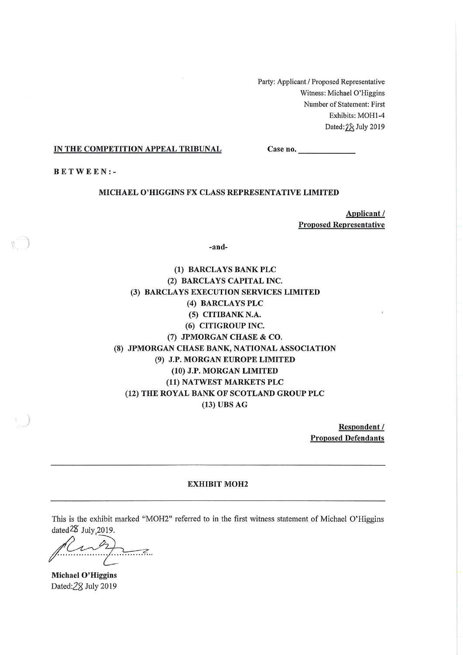Party: Applicant / Proposed Representative Witness: Michael O'Higgins Number of Statement: First Exhibits: MOH1-4 Dated: 2& July 2019

#### IN THE COMPETITION APPEAL TRIBUNAL

Case no.

**BETWEEN:-**

#### MICHAEL O'HIGGINS FX CLASS REPRESENTATIVE LIMITED

Applicant / **Proposed Representative** 

-and-

(1) BARCLAYS BANK PLC (2) BARCLAYS CAPITAL INC. (3) BARCLAYS EXECUTION SERVICES LIMITED (4) BARCLAYS PLC (5) CITIBANK N.A. (6) CITIGROUP INC. (7) JPMORGAN CHASE & CO. (8) JPMORGAN CHASE BANK, NATIONAL ASSOCIATION (9) J.P. MORGAN EUROPE LIMITED (10) J.P. MORGAN LIMITED (11) NATWEST MARKETS PLC (12) THE ROYAL BANK OF SCOTLAND GROUP PLC  $(13)$  UBS AG

> Respondent / **Proposed Defendants**

#### **EXHIBIT MOH2**

This is the exhibit marked "MOH2" referred to in the first witness statement of Michael O'Higgins dated<sup>28</sup> July, 2019.

 $\overline{\phantom{a}}$ 

Michael O'Higgins Dated:28 July 2019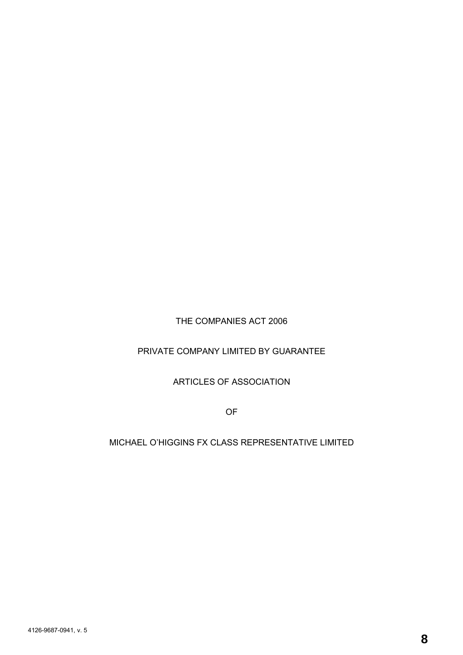THE COMPANIES ACT 2006

# PRIVATE COMPANY LIMITED BY GUARANTEE

# ARTICLES OF ASSOCIATION

OF

# MICHAEL O'HIGGINS FX CLASS REPRESENTATIVE LIMITED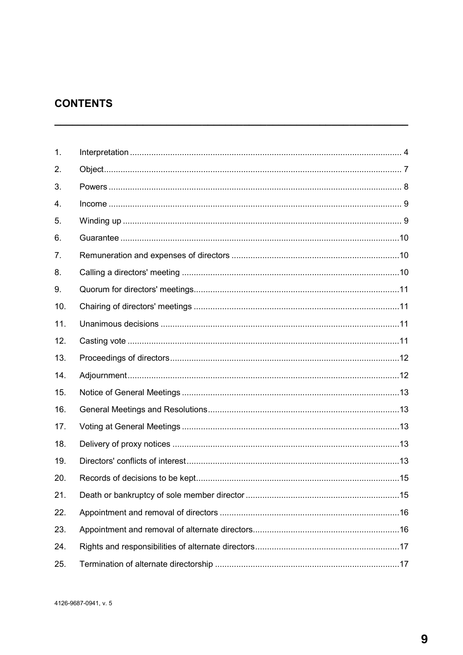# **CONTENTS**

| 1.  |  |
|-----|--|
| 2.  |  |
| 3.  |  |
| 4.  |  |
| 5.  |  |
| 6.  |  |
| 7.  |  |
| 8.  |  |
| 9.  |  |
| 10. |  |
| 11. |  |
| 12. |  |
| 13. |  |
| 14. |  |
| 15. |  |
| 16. |  |
| 17. |  |
| 18. |  |
| 19. |  |
| 20. |  |
| 21. |  |
| 22. |  |
| 23. |  |
| 24. |  |
| 25. |  |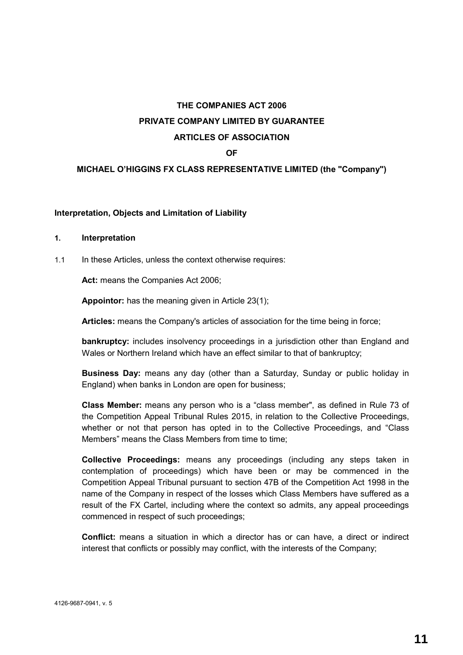# **THE COMPANIES ACT 2006 PRIVATE COMPANY LIMITED BY GUARANTEE ARTICLES OF ASSOCIATION**

#### **OF**

#### **MICHAEL O'HIGGINS FX CLASS REPRESENTATIVE LIMITED (the "Company")**

#### **Interpretation, Objects and Limitation of Liability**

#### **1. Interpretation**

1.1 In these Articles, unless the context otherwise requires:

**Act:** means the Companies Act 2006;

**Appointor:** has the meaning given in Article 23(1);

**Articles:** means the Company's articles of association for the time being in force;

**bankruptcy:** includes insolvency proceedings in a jurisdiction other than England and Wales or Northern Ireland which have an effect similar to that of bankruptcy;

**Business Day:** means any day (other than a Saturday, Sunday or public holiday in England) when banks in London are open for business;

**Class Member:** means any person who is a "class member", as defined in Rule 73 of the Competition Appeal Tribunal Rules 2015, in relation to the Collective Proceedings, whether or not that person has opted in to the Collective Proceedings, and "Class Members" means the Class Members from time to time;

**Collective Proceedings:** means any proceedings (including any steps taken in contemplation of proceedings) which have been or may be commenced in the Competition Appeal Tribunal pursuant to section 47B of the Competition Act 1998 in the name of the Company in respect of the losses which Class Members have suffered as a result of the FX Cartel, including where the context so admits, any appeal proceedings commenced in respect of such proceedings;

**Conflict:** means a situation in which a director has or can have, a direct or indirect interest that conflicts or possibly may conflict, with the interests of the Company;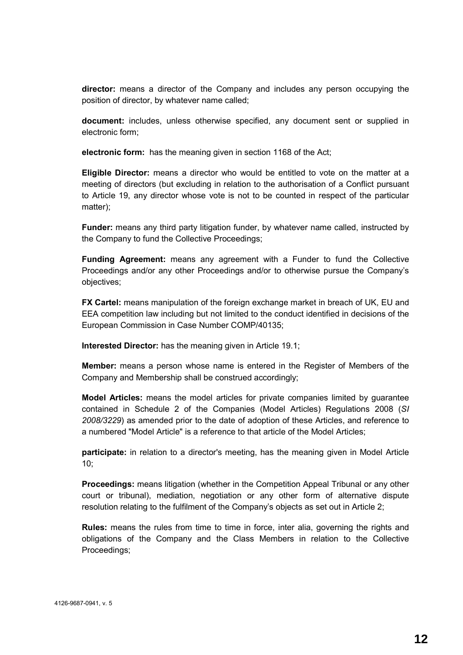**director:** means a director of the Company and includes any person occupying the position of director, by whatever name called;

**document:** includes, unless otherwise specified, any document sent or supplied in electronic form;

**electronic form:** has the meaning given in section 1168 of the Act;

**Eligible Director:** means a director who would be entitled to vote on the matter at a meeting of directors (but excluding in relation to the authorisation of a Conflict pursuant to Article 19, any director whose vote is not to be counted in respect of the particular matter);

**Funder:** means any third party litigation funder, by whatever name called, instructed by the Company to fund the Collective Proceedings;

**Funding Agreement:** means any agreement with a Funder to fund the Collective Proceedings and/or any other Proceedings and/or to otherwise pursue the Company's objectives;

**FX Cartel:** means manipulation of the foreign exchange market in breach of UK, EU and EEA competition law including but not limited to the conduct identified in decisions of the European Commission in Case Number COMP/40135;

**Interested Director:** has the meaning given in Article 19.1;

**Member:** means a person whose name is entered in the Register of Members of the Company and Membership shall be construed accordingly;

**Model Articles:** means the model articles for private companies limited by guarantee contained in Schedule 2 of the Companies (Model Articles) Regulations 2008 (*SI 2008/3229*) as amended prior to the date of adoption of these Articles, and reference to a numbered "Model Article" is a reference to that article of the Model Articles;

**participate:** in relation to a director's meeting, has the meaning given in Model Article 10;

**Proceedings:** means litigation (whether in the Competition Appeal Tribunal or any other court or tribunal), mediation, negotiation or any other form of alternative dispute resolution relating to the fulfilment of the Company's objects as set out in Article 2;

**Rules:** means the rules from time to time in force, inter alia, governing the rights and obligations of the Company and the Class Members in relation to the Collective Proceedings;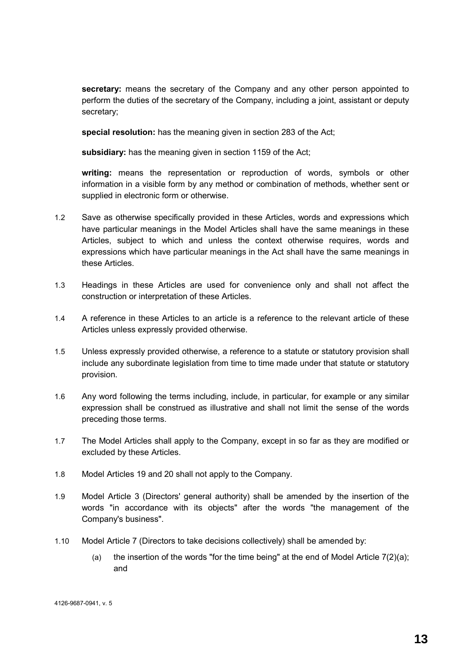**secretary:** means the secretary of the Company and any other person appointed to perform the duties of the secretary of the Company, including a joint, assistant or deputy secretary;

**special resolution:** has the meaning given in section 283 of the Act;

**subsidiary:** has the meaning given in section 1159 of the Act;

**writing:** means the representation or reproduction of words, symbols or other information in a visible form by any method or combination of methods, whether sent or supplied in electronic form or otherwise.

- 1.2 Save as otherwise specifically provided in these Articles, words and expressions which have particular meanings in the Model Articles shall have the same meanings in these Articles, subject to which and unless the context otherwise requires, words and expressions which have particular meanings in the Act shall have the same meanings in these Articles.
- 1.3 Headings in these Articles are used for convenience only and shall not affect the construction or interpretation of these Articles.
- 1.4 A reference in these Articles to an article is a reference to the relevant article of these Articles unless expressly provided otherwise.
- 1.5 Unless expressly provided otherwise, a reference to a statute or statutory provision shall include any subordinate legislation from time to time made under that statute or statutory provision.
- 1.6 Any word following the terms including, include, in particular, for example or any similar expression shall be construed as illustrative and shall not limit the sense of the words preceding those terms.
- 1.7 The Model Articles shall apply to the Company, except in so far as they are modified or excluded by these Articles.
- 1.8 Model Articles 19 and 20 shall not apply to the Company.
- 1.9 Model Article 3 (Directors' general authority) shall be amended by the insertion of the words "in accordance with its objects" after the words "the management of the Company's business".
- 1.10 Model Article 7 (Directors to take decisions collectively) shall be amended by:
	- (a) the insertion of the words "for the time being" at the end of Model Article  $7(2)(a)$ ; and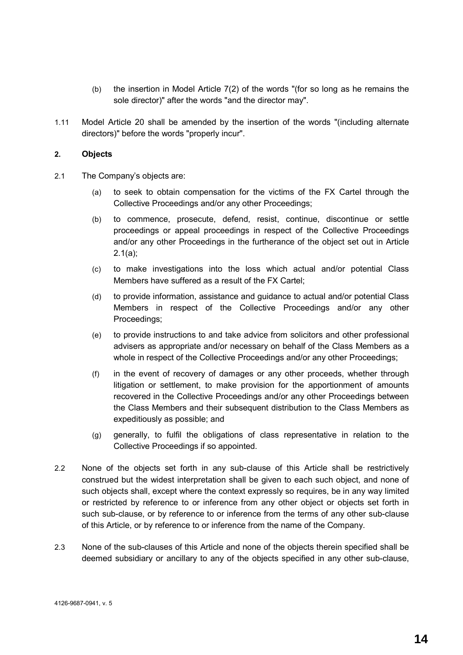- (b) the insertion in Model Article 7(2) of the words "(for so long as he remains the sole director)" after the words "and the director may".
- 1.11 Model Article 20 shall be amended by the insertion of the words "(including alternate directors)" before the words "properly incur".

#### **2. Objects**

- 2.1 The Company's objects are:
	- (a) to seek to obtain compensation for the victims of the FX Cartel through the Collective Proceedings and/or any other Proceedings;
	- (b) to commence, prosecute, defend, resist, continue, discontinue or settle proceedings or appeal proceedings in respect of the Collective Proceedings and/or any other Proceedings in the furtherance of the object set out in Article 2.1(a);
	- (c) to make investigations into the loss which actual and/or potential Class Members have suffered as a result of the FX Cartel;
	- (d) to provide information, assistance and guidance to actual and/or potential Class Members in respect of the Collective Proceedings and/or any other Proceedings;
	- (e) to provide instructions to and take advice from solicitors and other professional advisers as appropriate and/or necessary on behalf of the Class Members as a whole in respect of the Collective Proceedings and/or any other Proceedings;
	- (f) in the event of recovery of damages or any other proceeds, whether through litigation or settlement, to make provision for the apportionment of amounts recovered in the Collective Proceedings and/or any other Proceedings between the Class Members and their subsequent distribution to the Class Members as expeditiously as possible; and
	- (g) generally, to fulfil the obligations of class representative in relation to the Collective Proceedings if so appointed.
- 2.2 None of the objects set forth in any sub-clause of this Article shall be restrictively construed but the widest interpretation shall be given to each such object, and none of such objects shall, except where the context expressly so requires, be in any way limited or restricted by reference to or inference from any other object or objects set forth in such sub-clause, or by reference to or inference from the terms of any other sub-clause of this Article, or by reference to or inference from the name of the Company.
- 2.3 None of the sub-clauses of this Article and none of the objects therein specified shall be deemed subsidiary or ancillary to any of the objects specified in any other sub-clause,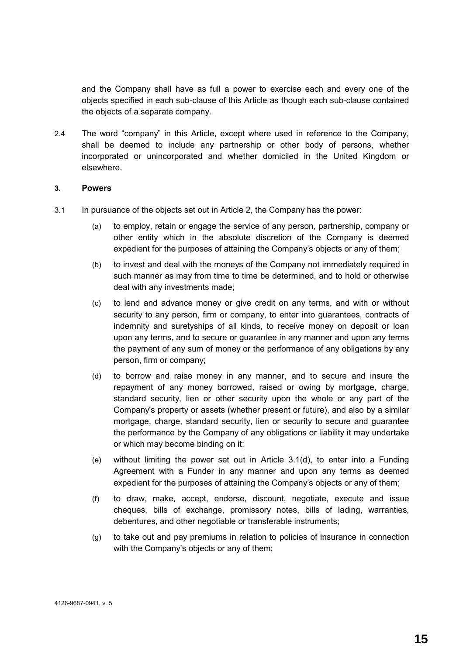and the Company shall have as full a power to exercise each and every one of the objects specified in each sub-clause of this Article as though each sub-clause contained the objects of a separate company.

2.4 The word "company" in this Article, except where used in reference to the Company, shall be deemed to include any partnership or other body of persons, whether incorporated or unincorporated and whether domiciled in the United Kingdom or elsewhere.

#### **3. Powers**

- 3.1 In pursuance of the objects set out in Article 2, the Company has the power:
	- (a) to employ, retain or engage the service of any person, partnership, company or other entity which in the absolute discretion of the Company is deemed expedient for the purposes of attaining the Company's objects or any of them;
	- (b) to invest and deal with the moneys of the Company not immediately required in such manner as may from time to time be determined, and to hold or otherwise deal with any investments made;
	- (c) to lend and advance money or give credit on any terms, and with or without security to any person, firm or company, to enter into guarantees, contracts of indemnity and suretyships of all kinds, to receive money on deposit or loan upon any terms, and to secure or guarantee in any manner and upon any terms the payment of any sum of money or the performance of any obligations by any person, firm or company;
	- (d) to borrow and raise money in any manner, and to secure and insure the repayment of any money borrowed, raised or owing by mortgage, charge, standard security, lien or other security upon the whole or any part of the Company's property or assets (whether present or future), and also by a similar mortgage, charge, standard security, lien or security to secure and guarantee the performance by the Company of any obligations or liability it may undertake or which may become binding on it;
	- (e) without limiting the power set out in Article 3.1(d), to enter into a Funding Agreement with a Funder in any manner and upon any terms as deemed expedient for the purposes of attaining the Company's objects or any of them;
	- (f) to draw, make, accept, endorse, discount, negotiate, execute and issue cheques, bills of exchange, promissory notes, bills of lading, warranties, debentures, and other negotiable or transferable instruments;
	- (g) to take out and pay premiums in relation to policies of insurance in connection with the Company's objects or any of them;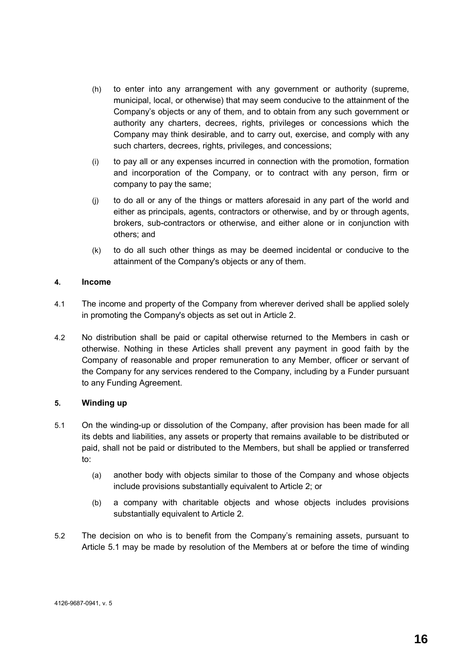- (h) to enter into any arrangement with any government or authority (supreme, municipal, local, or otherwise) that may seem conducive to the attainment of the Company's objects or any of them, and to obtain from any such government or authority any charters, decrees, rights, privileges or concessions which the Company may think desirable, and to carry out, exercise, and comply with any such charters, decrees, rights, privileges, and concessions;
- (i) to pay all or any expenses incurred in connection with the promotion, formation and incorporation of the Company, or to contract with any person, firm or company to pay the same;
- (j) to do all or any of the things or matters aforesaid in any part of the world and either as principals, agents, contractors or otherwise, and by or through agents, brokers, sub-contractors or otherwise, and either alone or in conjunction with others; and
- (k) to do all such other things as may be deemed incidental or conducive to the attainment of the Company's objects or any of them.

#### **4. Income**

- 4.1 The income and property of the Company from wherever derived shall be applied solely in promoting the Company's objects as set out in Article 2.
- 4.2 No distribution shall be paid or capital otherwise returned to the Members in cash or otherwise. Nothing in these Articles shall prevent any payment in good faith by the Company of reasonable and proper remuneration to any Member, officer or servant of the Company for any services rendered to the Company, including by a Funder pursuant to any Funding Agreement.

# **5. Winding up**

- 5.1 On the winding-up or dissolution of the Company, after provision has been made for all its debts and liabilities, any assets or property that remains available to be distributed or paid, shall not be paid or distributed to the Members, but shall be applied or transferred to:
	- (a) another body with objects similar to those of the Company and whose objects include provisions substantially equivalent to Article 2; or
	- (b) a company with charitable objects and whose objects includes provisions substantially equivalent to Article 2.
- 5.2 The decision on who is to benefit from the Company's remaining assets, pursuant to Article 5.1 may be made by resolution of the Members at or before the time of winding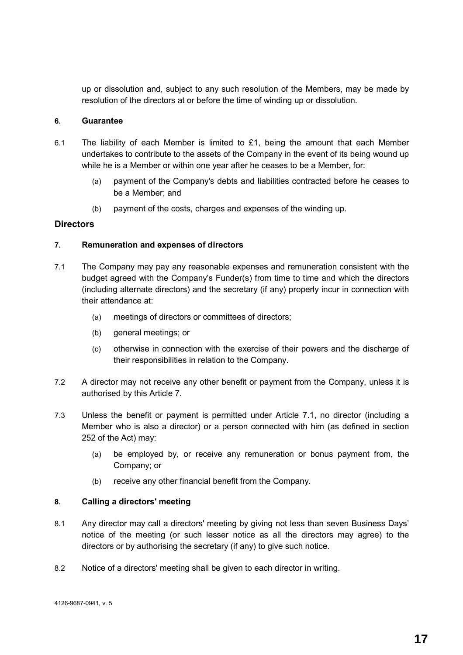up or dissolution and, subject to any such resolution of the Members, may be made by resolution of the directors at or before the time of winding up or dissolution.

#### **6. Guarantee**

- 6.1 The liability of each Member is limited to  $£1$ , being the amount that each Member undertakes to contribute to the assets of the Company in the event of its being wound up while he is a Member or within one year after he ceases to be a Member, for:
	- (a) payment of the Company's debts and liabilities contracted before he ceases to be a Member; and
	- (b) payment of the costs, charges and expenses of the winding up.

### **Directors**

#### **7. Remuneration and expenses of directors**

- 7.1 The Company may pay any reasonable expenses and remuneration consistent with the budget agreed with the Company's Funder(s) from time to time and which the directors (including alternate directors) and the secretary (if any) properly incur in connection with their attendance at:
	- (a) meetings of directors or committees of directors;
	- (b) general meetings; or
	- (c) otherwise in connection with the exercise of their powers and the discharge of their responsibilities in relation to the Company.
- 7.2 A director may not receive any other benefit or payment from the Company, unless it is authorised by this Article 7.
- 7.3 Unless the benefit or payment is permitted under Article 7.1, no director (including a Member who is also a director) or a person connected with him (as defined in section 252 of the Act) may:
	- (a) be employed by, or receive any remuneration or bonus payment from, the Company; or
	- (b) receive any other financial benefit from the Company.

#### **8. Calling a directors' meeting**

- 8.1 Any director may call a directors' meeting by giving not less than seven Business Days' notice of the meeting (or such lesser notice as all the directors may agree) to the directors or by authorising the secretary (if any) to give such notice.
- 8.2 Notice of a directors' meeting shall be given to each director in writing.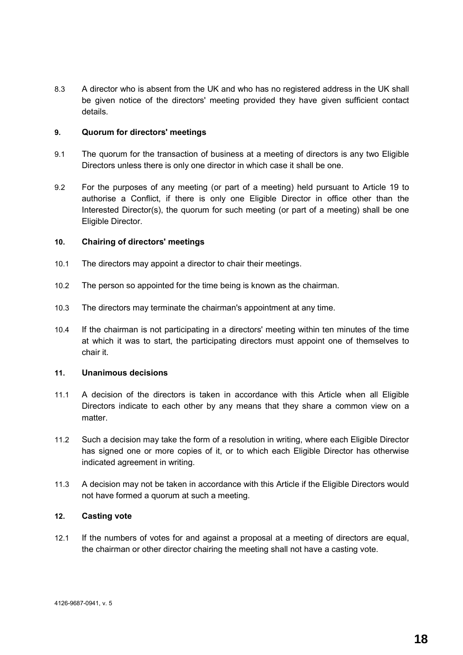8.3 A director who is absent from the UK and who has no registered address in the UK shall be given notice of the directors' meeting provided they have given sufficient contact details.

#### **9. Quorum for directors' meetings**

- 9.1 The quorum for the transaction of business at a meeting of directors is any two Eligible Directors unless there is only one director in which case it shall be one.
- 9.2 For the purposes of any meeting (or part of a meeting) held pursuant to Article 19 to authorise a Conflict, if there is only one Eligible Director in office other than the Interested Director(s), the quorum for such meeting (or part of a meeting) shall be one Eligible Director.

#### **10. Chairing of directors' meetings**

- 10.1 The directors may appoint a director to chair their meetings.
- 10.2 The person so appointed for the time being is known as the chairman.
- 10.3 The directors may terminate the chairman's appointment at any time.
- 10.4 If the chairman is not participating in a directors' meeting within ten minutes of the time at which it was to start, the participating directors must appoint one of themselves to chair it.

#### **11. Unanimous decisions**

- 11.1 A decision of the directors is taken in accordance with this Article when all Eligible Directors indicate to each other by any means that they share a common view on a matter.
- 11.2 Such a decision may take the form of a resolution in writing, where each Eligible Director has signed one or more copies of it, or to which each Eligible Director has otherwise indicated agreement in writing.
- 11.3 A decision may not be taken in accordance with this Article if the Eligible Directors would not have formed a quorum at such a meeting.

#### **12. Casting vote**

12.1 If the numbers of votes for and against a proposal at a meeting of directors are equal, the chairman or other director chairing the meeting shall not have a casting vote.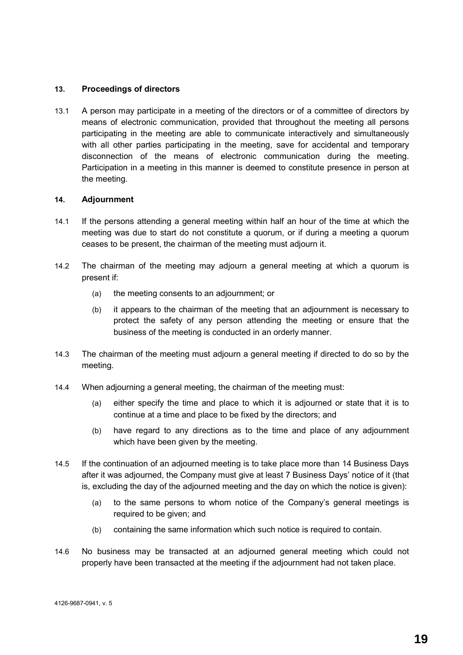#### **13. Proceedings of directors**

13.1 A person may participate in a meeting of the directors or of a committee of directors by means of electronic communication, provided that throughout the meeting all persons participating in the meeting are able to communicate interactively and simultaneously with all other parties participating in the meeting, save for accidental and temporary disconnection of the means of electronic communication during the meeting. Participation in a meeting in this manner is deemed to constitute presence in person at the meeting.

#### **14. Adjournment**

- 14.1 If the persons attending a general meeting within half an hour of the time at which the meeting was due to start do not constitute a quorum, or if during a meeting a quorum ceases to be present, the chairman of the meeting must adjourn it.
- 14.2 The chairman of the meeting may adjourn a general meeting at which a quorum is present if:
	- (a) the meeting consents to an adjournment; or
	- (b) it appears to the chairman of the meeting that an adjournment is necessary to protect the safety of any person attending the meeting or ensure that the business of the meeting is conducted in an orderly manner.
- 14.3 The chairman of the meeting must adjourn a general meeting if directed to do so by the meeting.
- 14.4 When adjourning a general meeting, the chairman of the meeting must:
	- (a) either specify the time and place to which it is adjourned or state that it is to continue at a time and place to be fixed by the directors; and
	- (b) have regard to any directions as to the time and place of any adjournment which have been given by the meeting.
- 14.5 If the continuation of an adjourned meeting is to take place more than 14 Business Days after it was adjourned, the Company must give at least 7 Business Days' notice of it (that is, excluding the day of the adjourned meeting and the day on which the notice is given):
	- (a) to the same persons to whom notice of the Company's general meetings is required to be given; and
	- (b) containing the same information which such notice is required to contain.
- 14.6 No business may be transacted at an adjourned general meeting which could not properly have been transacted at the meeting if the adjournment had not taken place.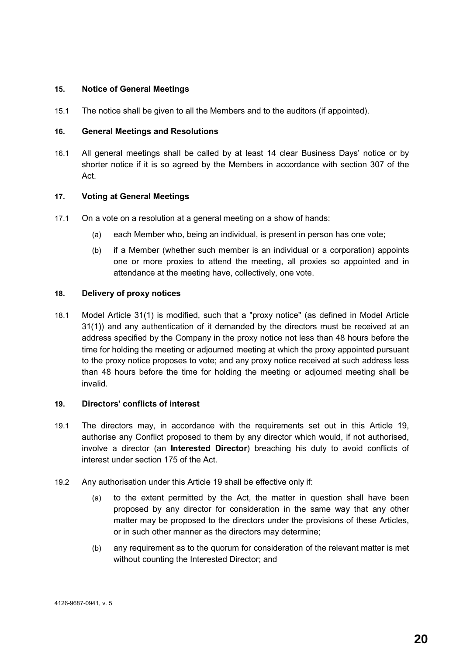#### **15. Notice of General Meetings**

15.1 The notice shall be given to all the Members and to the auditors (if appointed).

#### **16. General Meetings and Resolutions**

16.1 All general meetings shall be called by at least 14 clear Business Days' notice or by shorter notice if it is so agreed by the Members in accordance with section 307 of the Act.

#### **17. Voting at General Meetings**

- 17.1 On a vote on a resolution at a general meeting on a show of hands:
	- (a) each Member who, being an individual, is present in person has one vote;
	- (b) if a Member (whether such member is an individual or a corporation) appoints one or more proxies to attend the meeting, all proxies so appointed and in attendance at the meeting have, collectively, one vote.

#### **18. Delivery of proxy notices**

18.1 Model Article 31(1) is modified, such that a "proxy notice" (as defined in Model Article 31(1)) and any authentication of it demanded by the directors must be received at an address specified by the Company in the proxy notice not less than 48 hours before the time for holding the meeting or adjourned meeting at which the proxy appointed pursuant to the proxy notice proposes to vote; and any proxy notice received at such address less than 48 hours before the time for holding the meeting or adjourned meeting shall be invalid.

#### **19. Directors' conflicts of interest**

- 19.1 The directors may, in accordance with the requirements set out in this Article 19, authorise any Conflict proposed to them by any director which would, if not authorised, involve a director (an **Interested Director**) breaching his duty to avoid conflicts of interest under section 175 of the Act.
- 19.2 Any authorisation under this Article 19 shall be effective only if:
	- (a) to the extent permitted by the Act, the matter in question shall have been proposed by any director for consideration in the same way that any other matter may be proposed to the directors under the provisions of these Articles, or in such other manner as the directors may determine;
	- (b) any requirement as to the quorum for consideration of the relevant matter is met without counting the Interested Director; and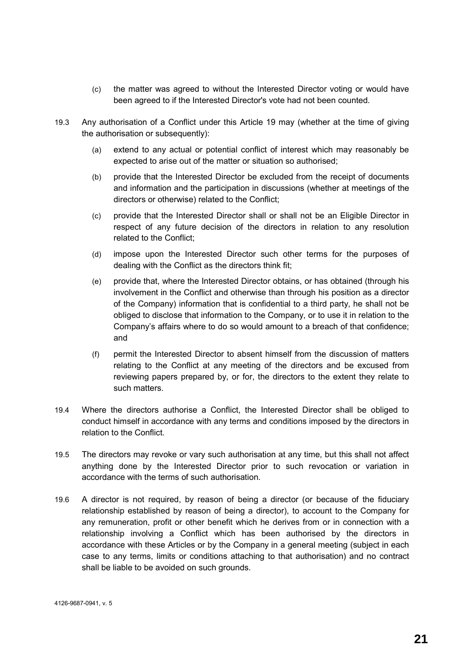- (c) the matter was agreed to without the Interested Director voting or would have been agreed to if the Interested Director's vote had not been counted.
- 19.3 Any authorisation of a Conflict under this Article 19 may (whether at the time of giving the authorisation or subsequently):
	- (a) extend to any actual or potential conflict of interest which may reasonably be expected to arise out of the matter or situation so authorised;
	- (b) provide that the Interested Director be excluded from the receipt of documents and information and the participation in discussions (whether at meetings of the directors or otherwise) related to the Conflict;
	- (c) provide that the Interested Director shall or shall not be an Eligible Director in respect of any future decision of the directors in relation to any resolution related to the Conflict;
	- (d) impose upon the Interested Director such other terms for the purposes of dealing with the Conflict as the directors think fit;
	- (e) provide that, where the Interested Director obtains, or has obtained (through his involvement in the Conflict and otherwise than through his position as a director of the Company) information that is confidential to a third party, he shall not be obliged to disclose that information to the Company, or to use it in relation to the Company's affairs where to do so would amount to a breach of that confidence; and
	- (f) permit the Interested Director to absent himself from the discussion of matters relating to the Conflict at any meeting of the directors and be excused from reviewing papers prepared by, or for, the directors to the extent they relate to such matters.
- 19.4 Where the directors authorise a Conflict, the Interested Director shall be obliged to conduct himself in accordance with any terms and conditions imposed by the directors in relation to the Conflict.
- 19.5 The directors may revoke or vary such authorisation at any time, but this shall not affect anything done by the Interested Director prior to such revocation or variation in accordance with the terms of such authorisation.
- 19.6 A director is not required, by reason of being a director (or because of the fiduciary relationship established by reason of being a director), to account to the Company for any remuneration, profit or other benefit which he derives from or in connection with a relationship involving a Conflict which has been authorised by the directors in accordance with these Articles or by the Company in a general meeting (subject in each case to any terms, limits or conditions attaching to that authorisation) and no contract shall be liable to be avoided on such grounds.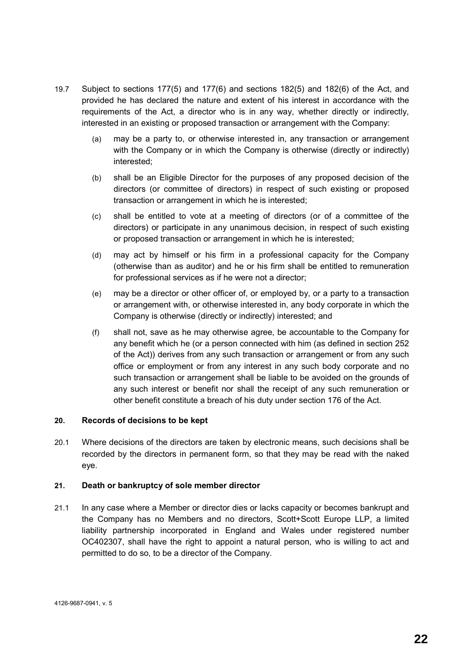- 19.7 Subject to sections 177(5) and 177(6) and sections 182(5) and 182(6) of the Act, and provided he has declared the nature and extent of his interest in accordance with the requirements of the Act, a director who is in any way, whether directly or indirectly, interested in an existing or proposed transaction or arrangement with the Company:
	- (a) may be a party to, or otherwise interested in, any transaction or arrangement with the Company or in which the Company is otherwise (directly or indirectly) interested;
	- (b) shall be an Eligible Director for the purposes of any proposed decision of the directors (or committee of directors) in respect of such existing or proposed transaction or arrangement in which he is interested;
	- (c) shall be entitled to vote at a meeting of directors (or of a committee of the directors) or participate in any unanimous decision, in respect of such existing or proposed transaction or arrangement in which he is interested;
	- (d) may act by himself or his firm in a professional capacity for the Company (otherwise than as auditor) and he or his firm shall be entitled to remuneration for professional services as if he were not a director;
	- (e) may be a director or other officer of, or employed by, or a party to a transaction or arrangement with, or otherwise interested in, any body corporate in which the Company is otherwise (directly or indirectly) interested; and
	- (f) shall not, save as he may otherwise agree, be accountable to the Company for any benefit which he (or a person connected with him (as defined in section 252 of the Act)) derives from any such transaction or arrangement or from any such office or employment or from any interest in any such body corporate and no such transaction or arrangement shall be liable to be avoided on the grounds of any such interest or benefit nor shall the receipt of any such remuneration or other benefit constitute a breach of his duty under section 176 of the Act.

#### **20. Records of decisions to be kept**

20.1 Where decisions of the directors are taken by electronic means, such decisions shall be recorded by the directors in permanent form, so that they may be read with the naked eye.

#### **21. Death or bankruptcy of sole member director**

21.1 In any case where a Member or director dies or lacks capacity or becomes bankrupt and the Company has no Members and no directors, Scott+Scott Europe LLP, a limited liability partnership incorporated in England and Wales under registered number OC402307, shall have the right to appoint a natural person, who is willing to act and permitted to do so, to be a director of the Company.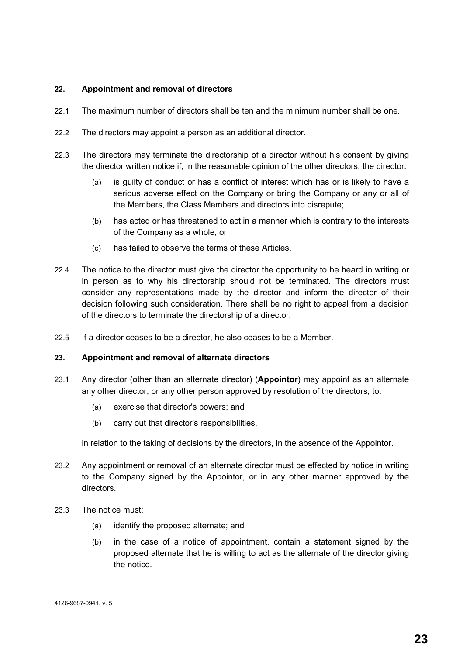#### **22. Appointment and removal of directors**

- 22.1 The maximum number of directors shall be ten and the minimum number shall be one.
- 22.2 The directors may appoint a person as an additional director.
- 22.3 The directors may terminate the directorship of a director without his consent by giving the director written notice if, in the reasonable opinion of the other directors, the director:
	- (a) is guilty of conduct or has a conflict of interest which has or is likely to have a serious adverse effect on the Company or bring the Company or any or all of the Members, the Class Members and directors into disrepute;
	- (b) has acted or has threatened to act in a manner which is contrary to the interests of the Company as a whole; or
	- (c) has failed to observe the terms of these Articles.
- 22.4 The notice to the director must give the director the opportunity to be heard in writing or in person as to why his directorship should not be terminated. The directors must consider any representations made by the director and inform the director of their decision following such consideration. There shall be no right to appeal from a decision of the directors to terminate the directorship of a director.
- 22.5 If a director ceases to be a director, he also ceases to be a Member.

#### **23. Appointment and removal of alternate directors**

- 23.1 Any director (other than an alternate director) (**Appointor**) may appoint as an alternate any other director, or any other person approved by resolution of the directors, to:
	- (a) exercise that director's powers; and
	- (b) carry out that director's responsibilities,

in relation to the taking of decisions by the directors, in the absence of the Appointor.

- 23.2 Any appointment or removal of an alternate director must be effected by notice in writing to the Company signed by the Appointor, or in any other manner approved by the directors.
- 23.3 The notice must:
	- (a) identify the proposed alternate; and
	- (b) in the case of a notice of appointment, contain a statement signed by the proposed alternate that he is willing to act as the alternate of the director giving the notice.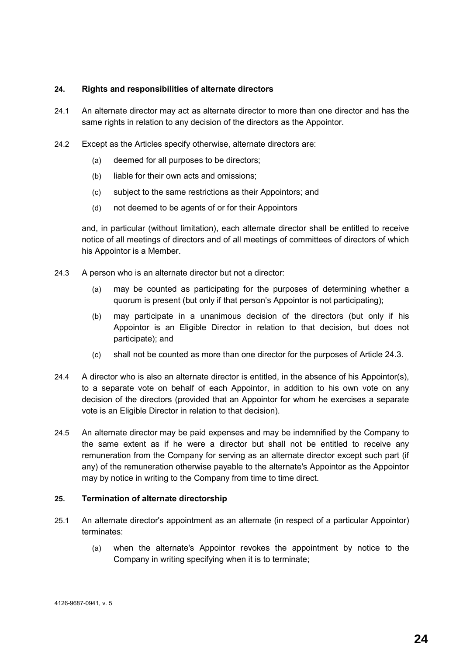#### **24. Rights and responsibilities of alternate directors**

- 24.1 An alternate director may act as alternate director to more than one director and has the same rights in relation to any decision of the directors as the Appointor.
- 24.2 Except as the Articles specify otherwise, alternate directors are:
	- (a) deemed for all purposes to be directors;
	- (b) liable for their own acts and omissions;
	- (c) subject to the same restrictions as their Appointors; and
	- (d) not deemed to be agents of or for their Appointors

and, in particular (without limitation), each alternate director shall be entitled to receive notice of all meetings of directors and of all meetings of committees of directors of which his Appointor is a Member.

- 24.3 A person who is an alternate director but not a director:
	- (a) may be counted as participating for the purposes of determining whether a quorum is present (but only if that person's Appointor is not participating);
	- (b) may participate in a unanimous decision of the directors (but only if his Appointor is an Eligible Director in relation to that decision, but does not participate); and
	- (c) shall not be counted as more than one director for the purposes of Article 24.3.
- 24.4 A director who is also an alternate director is entitled, in the absence of his Appointor(s), to a separate vote on behalf of each Appointor, in addition to his own vote on any decision of the directors (provided that an Appointor for whom he exercises a separate vote is an Eligible Director in relation to that decision).
- 24.5 An alternate director may be paid expenses and may be indemnified by the Company to the same extent as if he were a director but shall not be entitled to receive any remuneration from the Company for serving as an alternate director except such part (if any) of the remuneration otherwise payable to the alternate's Appointor as the Appointor may by notice in writing to the Company from time to time direct.

#### **25. Termination of alternate directorship**

- 25.1 An alternate director's appointment as an alternate (in respect of a particular Appointor) terminates:
	- (a) when the alternate's Appointor revokes the appointment by notice to the Company in writing specifying when it is to terminate;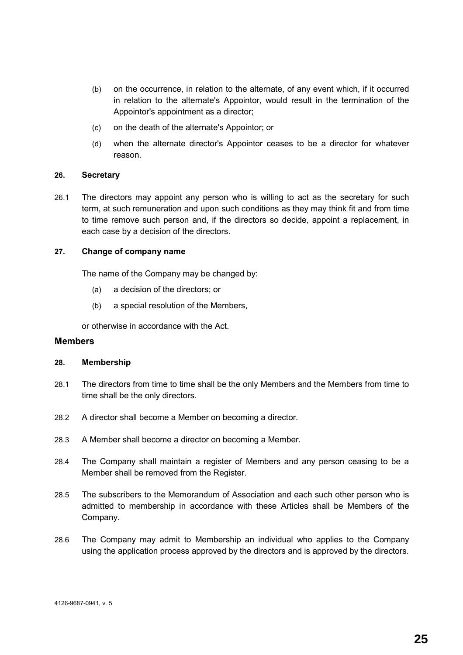- (b) on the occurrence, in relation to the alternate, of any event which, if it occurred in relation to the alternate's Appointor, would result in the termination of the Appointor's appointment as a director;
- (c) on the death of the alternate's Appointor; or
- (d) when the alternate director's Appointor ceases to be a director for whatever reason.

#### **26. Secretary**

26.1 The directors may appoint any person who is willing to act as the secretary for such term, at such remuneration and upon such conditions as they may think fit and from time to time remove such person and, if the directors so decide, appoint a replacement, in each case by a decision of the directors.

#### **27. Change of company name**

The name of the Company may be changed by:

- (a) a decision of the directors; or
- (b) a special resolution of the Members,

or otherwise in accordance with the Act.

#### **Members**

#### **28. Membership**

- 28.1 The directors from time to time shall be the only Members and the Members from time to time shall be the only directors.
- 28.2 A director shall become a Member on becoming a director.
- 28.3 A Member shall become a director on becoming a Member.
- 28.4 The Company shall maintain a register of Members and any person ceasing to be a Member shall be removed from the Register.
- 28.5 The subscribers to the Memorandum of Association and each such other person who is admitted to membership in accordance with these Articles shall be Members of the Company.
- 28.6 The Company may admit to Membership an individual who applies to the Company using the application process approved by the directors and is approved by the directors.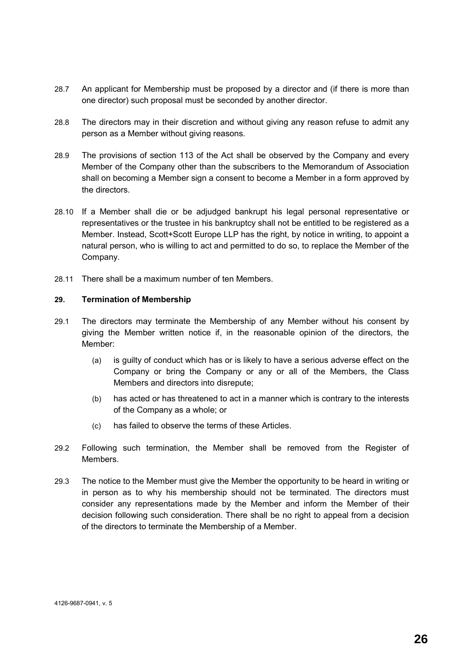- 28.7 An applicant for Membership must be proposed by a director and (if there is more than one director) such proposal must be seconded by another director.
- 28.8 The directors may in their discretion and without giving any reason refuse to admit any person as a Member without giving reasons.
- 28.9 The provisions of section 113 of the Act shall be observed by the Company and every Member of the Company other than the subscribers to the Memorandum of Association shall on becoming a Member sign a consent to become a Member in a form approved by the directors.
- 28.10 If a Member shall die or be adjudged bankrupt his legal personal representative or representatives or the trustee in his bankruptcy shall not be entitled to be registered as a Member. Instead, Scott+Scott Europe LLP has the right, by notice in writing, to appoint a natural person, who is willing to act and permitted to do so, to replace the Member of the Company.
- 28.11 There shall be a maximum number of ten Members.

#### **29. Termination of Membership**

- 29.1 The directors may terminate the Membership of any Member without his consent by giving the Member written notice if, in the reasonable opinion of the directors, the Member:
	- (a) is guilty of conduct which has or is likely to have a serious adverse effect on the Company or bring the Company or any or all of the Members, the Class Members and directors into disrepute;
	- (b) has acted or has threatened to act in a manner which is contrary to the interests of the Company as a whole; or
	- (c) has failed to observe the terms of these Articles.
- 29.2 Following such termination, the Member shall be removed from the Register of Members.
- 29.3 The notice to the Member must give the Member the opportunity to be heard in writing or in person as to why his membership should not be terminated. The directors must consider any representations made by the Member and inform the Member of their decision following such consideration. There shall be no right to appeal from a decision of the directors to terminate the Membership of a Member.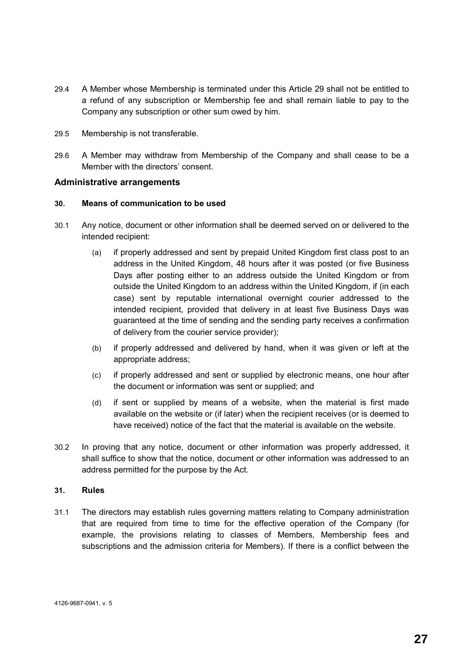- 29.4 A Member whose Membership is terminated under this Article 29 shall not be entitled to a refund of any subscription or Membership fee and shall remain liable to pay to the Company any subscription or other sum owed by him.
- 29.5 Membership is not transferable.
- 29.6 A Member may withdraw from Membership of the Company and shall cease to be a Member with the directors' consent.

#### **Administrative arrangements**

#### **30. Means of communication to be used**

- 30.1 Any notice, document or other information shall be deemed served on or delivered to the intended recipient:
	- (a) if properly addressed and sent by prepaid United Kingdom first class post to an address in the United Kingdom, 48 hours after it was posted (or five Business Days after posting either to an address outside the United Kingdom or from outside the United Kingdom to an address within the United Kingdom, if (in each case) sent by reputable international overnight courier addressed to the intended recipient, provided that delivery in at least five Business Days was guaranteed at the time of sending and the sending party receives a confirmation of delivery from the courier service provider);
	- (b) if properly addressed and delivered by hand, when it was given or left at the appropriate address;
	- (c) if properly addressed and sent or supplied by electronic means, one hour after the document or information was sent or supplied; and
	- (d) if sent or supplied by means of a website, when the material is first made available on the website or (if later) when the recipient receives (or is deemed to have received) notice of the fact that the material is available on the website.
- 30.2 In proving that any notice, document or other information was properly addressed, it shall suffice to show that the notice, document or other information was addressed to an address permitted for the purpose by the Act.

#### **31. Rules**

31.1 The directors may establish rules governing matters relating to Company administration that are required from time to time for the effective operation of the Company (for example, the provisions relating to classes of Members, Membership fees and subscriptions and the admission criteria for Members). If there is a conflict between the